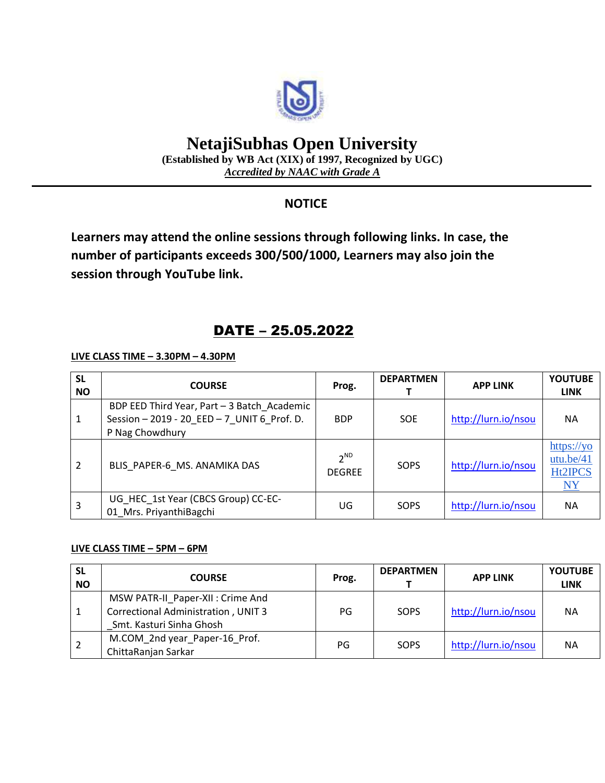

# **NetajiSubhas Open University**

**(Established by WB Act (XIX) of 1997, Recognized by UGC)** *Accredited by NAAC with Grade A*

### **NOTICE**

**Learners may attend the online sessions through following links. In case, the number of participants exceeds 300/500/1000, Learners may also join the session through YouTube link.**

## DATE – 25.05.2022

**LIVE CLASS TIME – 3.30PM – 4.30PM**

| <b>SL</b><br><b>NO</b> | <b>COURSE</b>                                                                                                 | Prog.                     | <b>DEPARTMEN</b> | <b>APP LINK</b>     | <b>YOUTUBE</b><br><b>LINK</b>                          |
|------------------------|---------------------------------------------------------------------------------------------------------------|---------------------------|------------------|---------------------|--------------------------------------------------------|
| 1                      | BDP EED Third Year, Part - 3 Batch Academic<br>Session - 2019 - 20 EED - 7 UNIT 6 Prof. D.<br>P Nag Chowdhury | <b>BDP</b>                | <b>SOE</b>       | http://lurn.io/nsou | <b>NA</b>                                              |
| 2                      | BLIS PAPER-6 MS. ANAMIKA DAS                                                                                  | $2^{ND}$<br><b>DEGREE</b> | SOPS             | http://lurn.io/nsou | https://yo<br>utu.be/41<br><b>Ht2IPCS</b><br><u>NY</u> |
| 3                      | UG_HEC_1st Year (CBCS Group) CC-EC-<br>01 Mrs. PriyanthiBagchi                                                | UG                        | SOPS             | http://lurn.io/nsou | <b>NA</b>                                              |

#### **LIVE CLASS TIME – 5PM – 6PM**

| <b>SL</b><br><b>NO</b> | <b>COURSE</b>                                                                                               | Prog. | <b>DEPARTMEN</b> | <b>APP LINK</b>     | <b>YOUTUBE</b><br><b>LINK</b> |
|------------------------|-------------------------------------------------------------------------------------------------------------|-------|------------------|---------------------|-------------------------------|
|                        | MSW PATR-II_Paper-XII : Crime And<br><b>Correctional Administration, UNIT 3</b><br>Smt. Kasturi Sinha Ghosh | PG    | SOPS             | http://lurn.io/nsou | <b>NA</b>                     |
|                        | M.COM_2nd year_Paper-16_Prof.<br>ChittaRanjan Sarkar                                                        | PG    | SOPS             | http://lurn.io/nsou | <b>NA</b>                     |